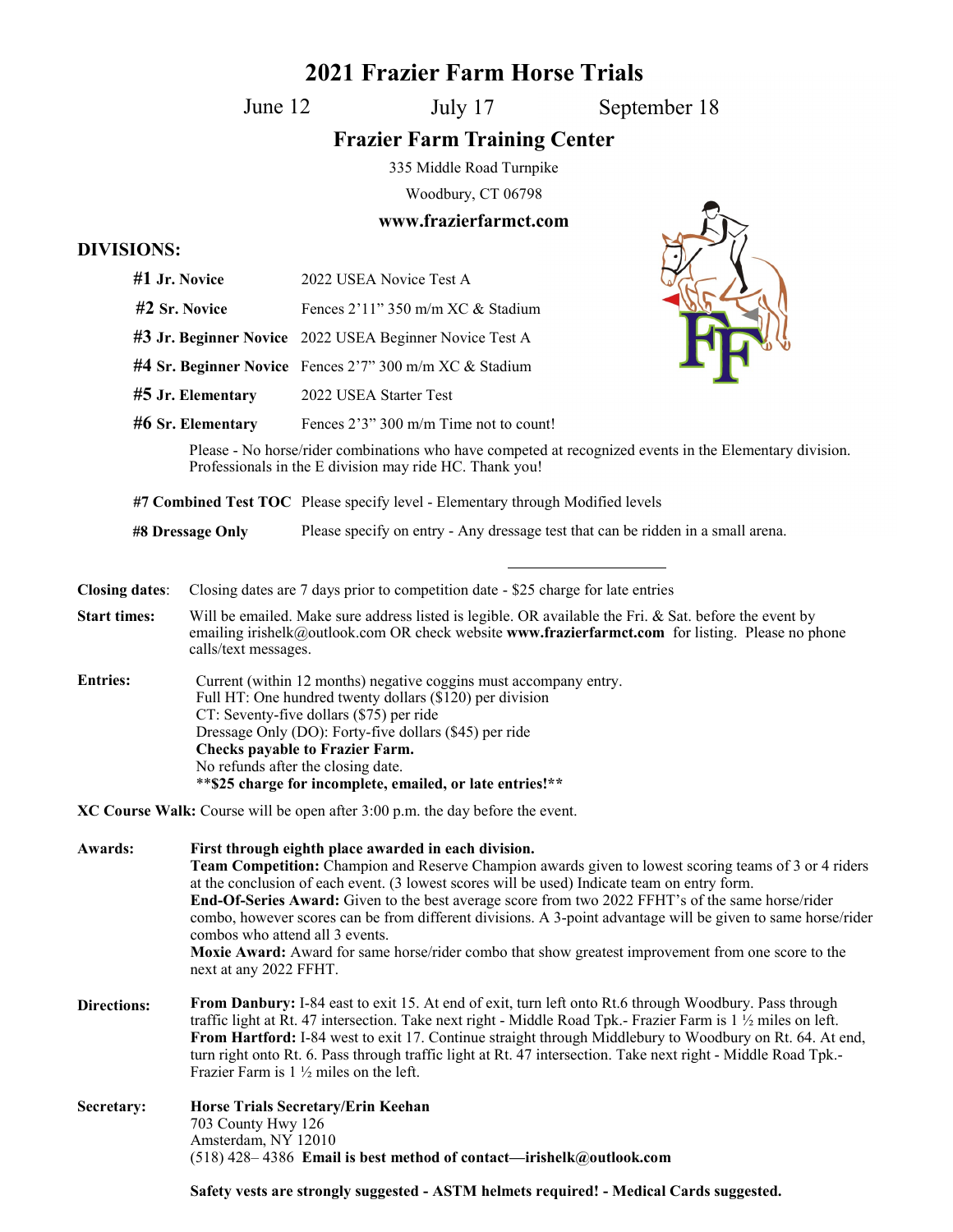## **2021 Frazier Farm Horse Trials**

June 12

July 17 September 18

 $\mathbb{Z}_2$ 

## **Frazier Farm Training Center**

335 Middle Road Turnpike

Woodbury, CT 06798

## **www.frazierfarmct.com**

## **DIVISIONS:**

| <b>DI LIDIOTIP</b>    |                                                                                                                                                                                                                                                                                                                                                                                                                                                                                                                       |                                                                                                                                                                                                                                                                                                                                                                                                                                                                                                                                                                                          |  |                                        |  |  |                        |
|-----------------------|-----------------------------------------------------------------------------------------------------------------------------------------------------------------------------------------------------------------------------------------------------------------------------------------------------------------------------------------------------------------------------------------------------------------------------------------------------------------------------------------------------------------------|------------------------------------------------------------------------------------------------------------------------------------------------------------------------------------------------------------------------------------------------------------------------------------------------------------------------------------------------------------------------------------------------------------------------------------------------------------------------------------------------------------------------------------------------------------------------------------------|--|----------------------------------------|--|--|------------------------|
|                       | #1 Jr. Novice                                                                                                                                                                                                                                                                                                                                                                                                                                                                                                         | 2022 USEA Novice Test A                                                                                                                                                                                                                                                                                                                                                                                                                                                                                                                                                                  |  |                                        |  |  |                        |
|                       | #2 Sr. Novice                                                                                                                                                                                                                                                                                                                                                                                                                                                                                                         | Fences 2'11" 350 m/m XC & Stadium                                                                                                                                                                                                                                                                                                                                                                                                                                                                                                                                                        |  |                                        |  |  |                        |
| #5 Jr. Elementary     |                                                                                                                                                                                                                                                                                                                                                                                                                                                                                                                       | #3 Jr. Beginner Novice 2022 USEA Beginner Novice Test A<br>#4 Sr. Beginner Novice Fences 2'7" 300 m/m XC & Stadium                                                                                                                                                                                                                                                                                                                                                                                                                                                                       |  |                                        |  |  |                        |
|                       |                                                                                                                                                                                                                                                                                                                                                                                                                                                                                                                       |                                                                                                                                                                                                                                                                                                                                                                                                                                                                                                                                                                                          |  |                                        |  |  | 2022 USEA Starter Test |
|                       |                                                                                                                                                                                                                                                                                                                                                                                                                                                                                                                       | #6 Sr. Elementary                                                                                                                                                                                                                                                                                                                                                                                                                                                                                                                                                                        |  | Fences 2'3" 300 m/m Time not to count! |  |  |                        |
|                       |                                                                                                                                                                                                                                                                                                                                                                                                                                                                                                                       | Please - No horse/rider combinations who have competed at recognized events in the Elementary division.<br>Professionals in the E division may ride HC. Thank you!                                                                                                                                                                                                                                                                                                                                                                                                                       |  |                                        |  |  |                        |
|                       |                                                                                                                                                                                                                                                                                                                                                                                                                                                                                                                       | #7 Combined Test TOC Please specify level - Elementary through Modified levels                                                                                                                                                                                                                                                                                                                                                                                                                                                                                                           |  |                                        |  |  |                        |
| #8 Dressage Only      |                                                                                                                                                                                                                                                                                                                                                                                                                                                                                                                       | Please specify on entry - Any dressage test that can be ridden in a small arena.                                                                                                                                                                                                                                                                                                                                                                                                                                                                                                         |  |                                        |  |  |                        |
| <b>Closing dates:</b> |                                                                                                                                                                                                                                                                                                                                                                                                                                                                                                                       | Closing dates are 7 days prior to competition date - \$25 charge for late entries                                                                                                                                                                                                                                                                                                                                                                                                                                                                                                        |  |                                        |  |  |                        |
| <b>Start times:</b>   | Will be emailed. Make sure address listed is legible. OR available the Fri. & Sat. before the event by<br>emailing irishelk@outlook.com OR check website www.frazierfarmct.com for listing. Please no phone<br>calls/text messages.                                                                                                                                                                                                                                                                                   |                                                                                                                                                                                                                                                                                                                                                                                                                                                                                                                                                                                          |  |                                        |  |  |                        |
| <b>Entries:</b>       | Current (within 12 months) negative coggins must accompany entry.<br>Full HT: One hundred twenty dollars (\$120) per division<br>CT: Seventy-five dollars (\$75) per ride<br>Dressage Only (DO): Forty-five dollars (\$45) per ride<br><b>Checks payable to Frazier Farm.</b><br>No refunds after the closing date.<br>** \$25 charge for incomplete, emailed, or late entries!**                                                                                                                                     |                                                                                                                                                                                                                                                                                                                                                                                                                                                                                                                                                                                          |  |                                        |  |  |                        |
|                       |                                                                                                                                                                                                                                                                                                                                                                                                                                                                                                                       | XC Course Walk: Course will be open after 3:00 p.m. the day before the event.                                                                                                                                                                                                                                                                                                                                                                                                                                                                                                            |  |                                        |  |  |                        |
| Awards:               | combos who attend all 3 events.<br>next at any 2022 FFHT.                                                                                                                                                                                                                                                                                                                                                                                                                                                             | First through eighth place awarded in each division.<br>Team Competition: Champion and Reserve Champion awards given to lowest scoring teams of 3 or 4 riders<br>at the conclusion of each event. (3 lowest scores will be used) Indicate team on entry form.<br>End-Of-Series Award: Given to the best average score from two 2022 FFHT's of the same horse/rider<br>combo, however scores can be from different divisions. A 3-point advantage will be given to same horse/rider<br>Moxie Award: Award for same horse/rider combo that show greatest improvement from one score to the |  |                                        |  |  |                        |
| <b>Directions:</b>    | From Danbury: I-84 east to exit 15. At end of exit, turn left onto Rt.6 through Woodbury. Pass through<br>traffic light at Rt. 47 intersection. Take next right - Middle Road Tpk.- Frazier Farm is $1 \frac{1}{2}$ miles on left.<br>From Hartford: I-84 west to exit 17. Continue straight through Middlebury to Woodbury on Rt. 64. At end,<br>turn right onto Rt. 6. Pass through traffic light at Rt. 47 intersection. Take next right - Middle Road Tpk.-<br>Frazier Farm is $1 \frac{1}{2}$ miles on the left. |                                                                                                                                                                                                                                                                                                                                                                                                                                                                                                                                                                                          |  |                                        |  |  |                        |
| Secretary:            | 703 County Hwy 126<br>Amsterdam, NY 12010                                                                                                                                                                                                                                                                                                                                                                                                                                                                             | Horse Trials Secretary/Erin Keehan<br>$(518)$ 428–4386 Email is best method of contact—irishelk@outlook.com                                                                                                                                                                                                                                                                                                                                                                                                                                                                              |  |                                        |  |  |                        |
|                       | Safety vests are strongly suggested - ASTM helmets required! - Medical Cards suggested.                                                                                                                                                                                                                                                                                                                                                                                                                               |                                                                                                                                                                                                                                                                                                                                                                                                                                                                                                                                                                                          |  |                                        |  |  |                        |